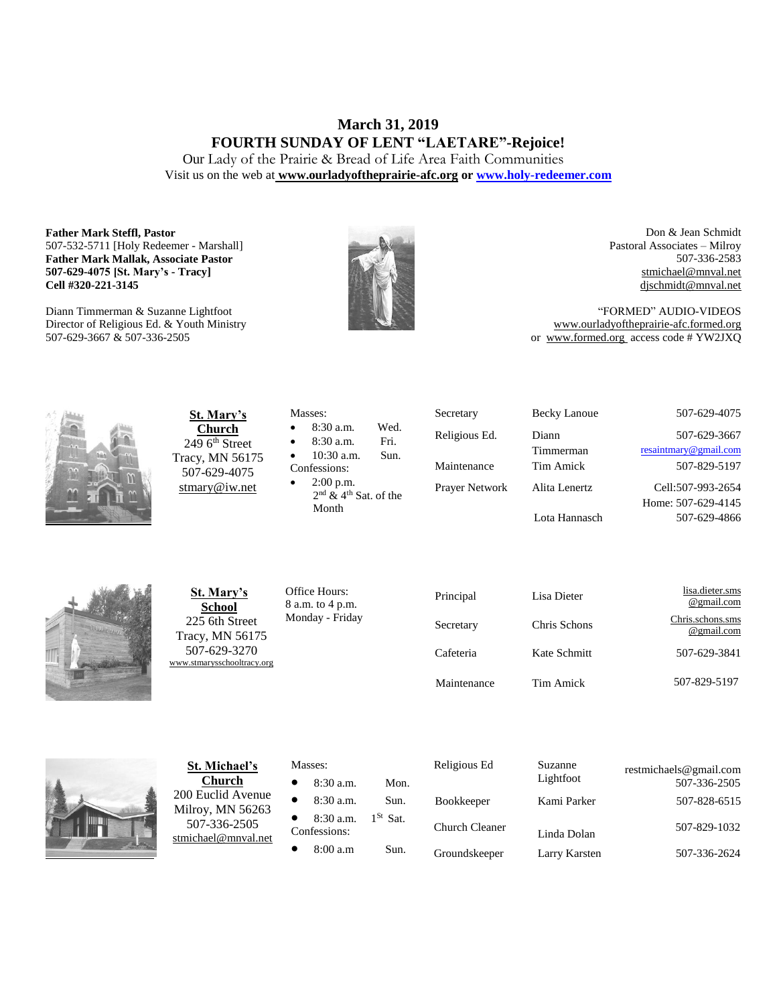# **March 31, 2019 FOURTH SUNDAY OF LENT "LAETARE"-Rejoice!**

Our Lady of the Prairie & Bread of Life Area Faith Communities Visit us on the web at **[www.ourladyoftheprairie-afc.org](http://www.ourladyoftheprairie-afc.org/) o[r www.holy-redeemer.com](http://www.holy-redeemer.com/)**

#### **Father Mark Steffl, Pastor** 507-532-5711 [Holy Redeemer - Marshall] **Father Mark Mallak, Associate Pastor 507-629-4075 [St. Mary's - Tracy] Cell #320-221-3145**

Diann Timmerman & Suzanne Lightfoot Director of Religious Ed. & Youth Ministry 507-629-3667 & 507-336-2505



Don & Jean Schmidt Pastoral Associates – Milroy 507-336-2583 [stmichael@mnval.net](mailto:stmichael@means.net) [djschmidt@mnval.net](mailto:djschmidt@mnval.net)

"FORMED" AUDIO-VIDEOS [www.ourladyoftheprairie-afc.formed.org](http://www.ourladyoftheprairie-afc.formed.org/) or www.formed.org access code # YW2JXQ



**St. Mary's Church**  $2496$ <sup>th</sup> Street Tracy, MN 56175 507-629-4075 [stmary@iw.net](mailto:stmary@iw.net)

|              | Masses:                             |      |  |  |
|--------------|-------------------------------------|------|--|--|
| $\bullet$    | 8:30 a.m.                           | Wed. |  |  |
| $\bullet$    | 8:30 a.m.                           | Fri. |  |  |
| $\bullet$    | $10:30$ a.m.                        | Sun. |  |  |
| Confessions: |                                     |      |  |  |
| $\bullet$    | $2:00$ p.m.                         |      |  |  |
|              | $2nd$ & 4 <sup>th</sup> Sat. of the |      |  |  |

Secretary Becky Lanoue 507-629-4075 Religious Ed. Diann Timmerman Prayer Network Alita Lenertz Lota Hannasch

507-629-3667 [resaintmary@gmail.com](mailto:resaintmary@gmail.com) Maintenance Tim Amick 507-829-5197 Cell:507-993-2654 Home: 507-629-4145 507-629-4866



**St. Mary's School** 225 6th Street Tracy, MN 56175 507-629-3270 [www.stmarysschooltracy.org](http://www.stmarysschooltracy.org/) Office Hours: 8 a.m. to 4 p.m. Monday - Friday

Month

| Principal   | Lisa Dieter  | lisa.dieter.sms<br>@gmail.com  |
|-------------|--------------|--------------------------------|
| Secretary   | Chris Schons | Chris.schons.sms<br>@gmail.com |
| Cafeteria   | Kate Schmitt | 507-629-3841                   |
| Maintenance | Tim Amick    | 507-829-5197                   |



**St. Michael's Church** 200 Euclid Avenue Milroy, MN 56263 507-336-2505 [stmichael@mnval.net](mailto:stmichael@mnval.net)

### Masses:

• 8:30 a.m. Mon.  $\bullet$  8:30 a.m. Sun. 8:30 a.m.  $1^{St}$  Sat. Confessions:  $\bullet$  8:00 a.m Sun.

| Religious Ed          | Suzanne<br>Lightfoot | restmichaels@gmail.com<br>507-336-2505 |
|-----------------------|----------------------|----------------------------------------|
| <b>Bookkeeper</b>     | Kami Parker          | 507-828-6515                           |
| <b>Church Cleaner</b> | Linda Dolan          | 507-829-1032                           |
| Groundskeeper         | Larry Karsten        | 507-336-2624                           |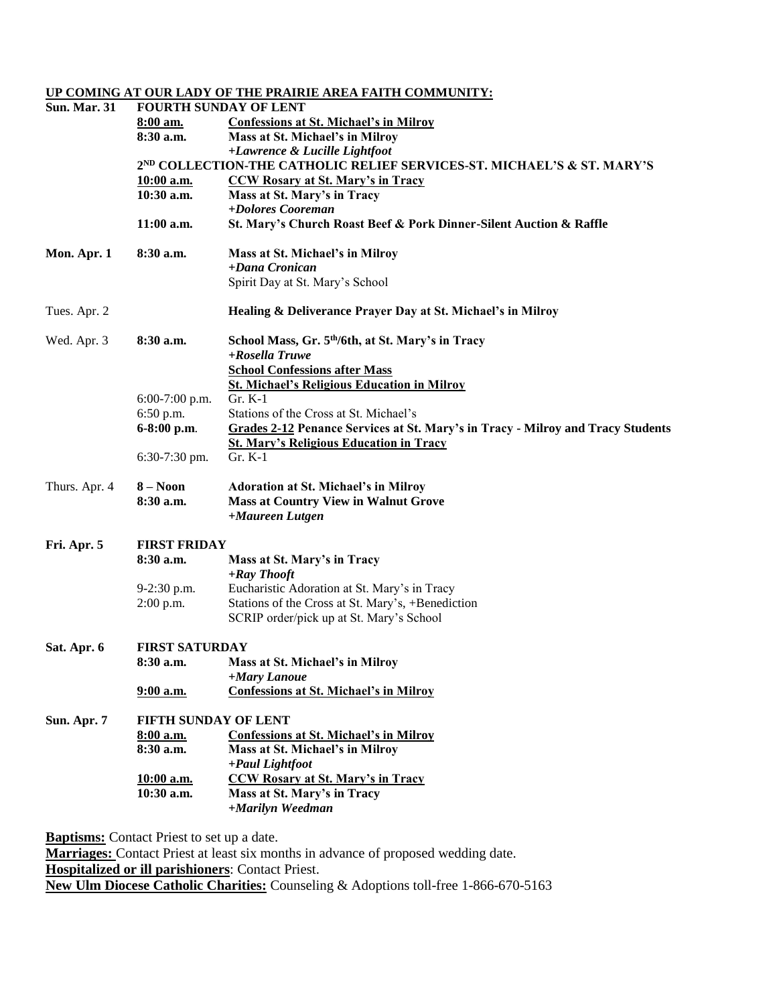|                     |                              | UP COMING AT OUR LADY OF THE PRAIRIE AREA FAITH COMMUNITY:                                                          |  |  |  |
|---------------------|------------------------------|---------------------------------------------------------------------------------------------------------------------|--|--|--|
| <b>Sun. Mar. 31</b> | <b>FOURTH SUNDAY OF LENT</b> |                                                                                                                     |  |  |  |
|                     | 8:00 am.                     | <b>Confessions at St. Michael's in Milroy</b>                                                                       |  |  |  |
|                     | 8:30 a.m.                    | Mass at St. Michael's in Milroy                                                                                     |  |  |  |
|                     |                              | +Lawrence & Lucille Lightfoot<br>2 <sup>ND</sup> COLLECTION-THE CATHOLIC RELIEF SERVICES-ST. MICHAEL'S & ST. MARY'S |  |  |  |
|                     |                              |                                                                                                                     |  |  |  |
|                     | 10:00 a.m.<br>$10:30$ a.m.   | <b>CCW Rosary at St. Mary's in Tracy</b><br>Mass at St. Mary's in Tracy                                             |  |  |  |
|                     |                              | +Dolores Cooreman                                                                                                   |  |  |  |
|                     | $11:00$ a.m.                 | St. Mary's Church Roast Beef & Pork Dinner-Silent Auction & Raffle                                                  |  |  |  |
| Mon. Apr. 1         | 8:30 a.m.                    | Mass at St. Michael's in Milroy                                                                                     |  |  |  |
|                     |                              | $+$ Dana Cronican                                                                                                   |  |  |  |
|                     |                              | Spirit Day at St. Mary's School                                                                                     |  |  |  |
| Tues. Apr. 2        |                              | Healing & Deliverance Prayer Day at St. Michael's in Milroy                                                         |  |  |  |
| Wed. Apr. 3         | 8:30 a.m.                    | School Mass, Gr. 5th/6th, at St. Mary's in Tracy                                                                    |  |  |  |
|                     |                              | +Rosella Truwe                                                                                                      |  |  |  |
|                     |                              | <b>School Confessions after Mass</b>                                                                                |  |  |  |
|                     |                              | <b>St. Michael's Religious Education in Milroy</b>                                                                  |  |  |  |
|                     | $6:00-7:00$ p.m.             | $Gr. K-1$                                                                                                           |  |  |  |
|                     | 6:50 p.m.                    | Stations of the Cross at St. Michael's                                                                              |  |  |  |
|                     | 6-8:00 p.m.                  | <b>Grades 2-12 Penance Services at St. Mary's in Tracy - Milroy and Tracy Students</b>                              |  |  |  |
|                     | $6:30-7:30$ pm.              | <b>St. Mary's Religious Education in Tracy</b><br>$Gr. K-1$                                                         |  |  |  |
| Thurs. Apr. 4       | $8 - N00n$                   | <b>Adoration at St. Michael's in Milroy</b>                                                                         |  |  |  |
|                     | 8:30 a.m.                    | <b>Mass at Country View in Walnut Grove</b>                                                                         |  |  |  |
|                     |                              | +Maureen Lutgen                                                                                                     |  |  |  |
| Fri. Apr. 5         | <b>FIRST FRIDAY</b>          |                                                                                                                     |  |  |  |
|                     | 8:30 a.m.                    | Mass at St. Mary's in Tracy<br>+Ray Thooft                                                                          |  |  |  |
|                     | 9-2:30 p.m.                  | Eucharistic Adoration at St. Mary's in Tracy                                                                        |  |  |  |
|                     | $2:00$ p.m.                  | Stations of the Cross at St. Mary's, +Benediction                                                                   |  |  |  |
|                     |                              | SCRIP order/pick up at St. Mary's School                                                                            |  |  |  |
| Sat. Apr. 6         | <b>FIRST SATURDAY</b>        |                                                                                                                     |  |  |  |
|                     | 8:30 a.m.                    | Mass at St. Michael's in Milroy                                                                                     |  |  |  |
|                     |                              | +Mary Lanoue                                                                                                        |  |  |  |
|                     | 9:00 a.m.                    | <b>Confessions at St. Michael's in Milroy</b>                                                                       |  |  |  |
| Sun. Apr. 7         | FIFTH SUNDAY OF LENT         |                                                                                                                     |  |  |  |
|                     | 8:00 a.m.                    | <b>Confessions at St. Michael's in Milroy</b>                                                                       |  |  |  |
|                     | 8:30 a.m.                    | Mass at St. Michael's in Milroy<br>+Paul Lightfoot                                                                  |  |  |  |
|                     | 10:00 a.m.                   | <b>CCW Rosary at St. Mary's in Tracy</b>                                                                            |  |  |  |
|                     | 10:30 a.m.                   | Mass at St. Mary's in Tracy                                                                                         |  |  |  |
|                     |                              | +Marilyn Weedman                                                                                                    |  |  |  |
|                     |                              |                                                                                                                     |  |  |  |

**Baptisms:** Contact Priest to set up a date. **Marriages:** Contact Priest at least six months in advance of proposed wedding date. **Hospitalized or ill parishioners**: Contact Priest. **New Ulm Diocese Catholic Charities:** Counseling & Adoptions toll-free 1-866-670-5163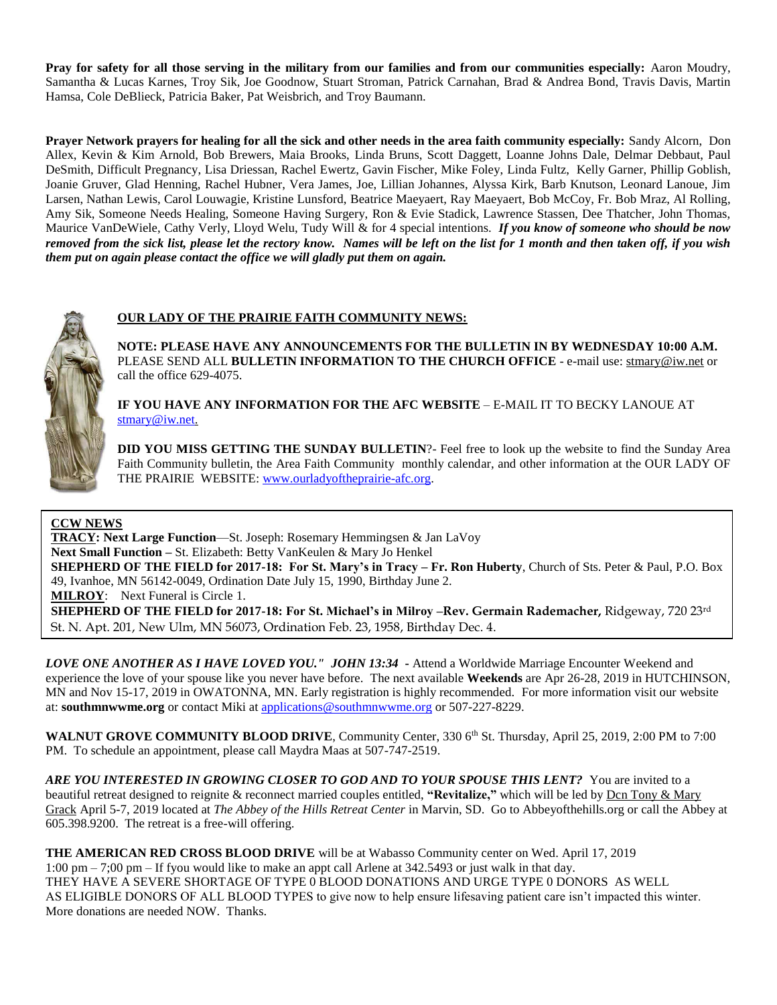**Pray for safety for all those serving in the military from our families and from our communities especially:** Aaron Moudry, Samantha & Lucas Karnes, Troy Sik, Joe Goodnow, Stuart Stroman, Patrick Carnahan, Brad & Andrea Bond, Travis Davis, Martin Hamsa, Cole DeBlieck, Patricia Baker, Pat Weisbrich, and Troy Baumann.

**Prayer Network prayers for healing for all the sick and other needs in the area faith community especially:** Sandy Alcorn, Don Allex, Kevin & Kim Arnold, Bob Brewers, Maia Brooks, Linda Bruns, Scott Daggett, Loanne Johns Dale, Delmar Debbaut, Paul DeSmith, Difficult Pregnancy, Lisa Driessan, Rachel Ewertz, Gavin Fischer, Mike Foley, Linda Fultz, Kelly Garner, Phillip Goblish, Joanie Gruver, Glad Henning, Rachel Hubner, Vera James, Joe, Lillian Johannes, Alyssa Kirk, Barb Knutson, Leonard Lanoue, Jim Larsen, Nathan Lewis, Carol Louwagie, Kristine Lunsford, Beatrice Maeyaert, Ray Maeyaert, Bob McCoy, Fr. Bob Mraz, Al Rolling, Amy Sik, Someone Needs Healing, Someone Having Surgery, Ron & Evie Stadick, Lawrence Stassen, Dee Thatcher, John Thomas, Maurice VanDeWiele, Cathy Verly, Lloyd Welu, Tudy Will & for 4 special intentions. *If you know of someone who should be now removed from the sick list, please let the rectory know. Names will be left on the list for 1 month and then taken off, if you wish them put on again please contact the office we will gladly put them on again.*



# **OUR LADY OF THE PRAIRIE FAITH COMMUNITY NEWS:**

**NOTE: PLEASE HAVE ANY ANNOUNCEMENTS FOR THE BULLETIN IN BY WEDNESDAY 10:00 A.M.** PLEASE SEND ALL **BULLETIN INFORMATION TO THE CHURCH OFFICE** - e-mail use[: stmary@iw.net](mailto:stmary@iw.net) or call the office 629-4075.

**IF YOU HAVE ANY INFORMATION FOR THE AFC WEBSITE** – E-MAIL IT TO BECKY LANOUE AT [stmary@iw.net.](mailto:stmary@iw.net)

**DID YOU MISS GETTING THE SUNDAY BULLETIN?**- Feel free to look up the website to find the Sunday Area Faith Community bulletin, the Area Faith Community monthly calendar, and other information at the OUR LADY OF THE PRAIRIE WEBSITE: [www.ourladyoftheprairie-afc.org.](http://www.ourladyoftheprairie-afc.org/)

# **CCW NEWS**

**TRACY: Next Large Function**—St. Joseph: Rosemary Hemmingsen & Jan LaVoy **Next Small Function –** St. Elizabeth: Betty VanKeulen & Mary Jo Henkel **SHEPHERD OF THE FIELD for 2017-18: For St. Mary's in Tracy – Fr. Ron Huberty**, Church of Sts. Peter & Paul, P.O. Box 49, Ivanhoe, MN 56142-0049, Ordination Date July 15, 1990, Birthday June 2.

**MILROY**: Next Funeral is Circle 1.

**SHEPHERD OF THE FIELD for 2017-18: For St. Michael's in Milroy –Rev. Germain Rademacher,** Ridgeway, 720 23rd St. N. Apt. 201, New Ulm, MN 56073, Ordination Feb. 23, 1958, Birthday Dec. 4.

*LOVE ONE ANOTHER AS I HAVE LOVED YOU." JOHN 13:34* **-** Attend a Worldwide Marriage Encounter Weekend and experience the love of your spouse like you never have before. The next available **Weekends** are Apr 26-28, 2019 in HUTCHINSON, MN and Nov 15-17, 2019 in OWATONNA, MN. Early registration is highly recommended. For more information visit our website at: **southmnwwme.org** or contact Miki at [applications@southmnwwme.org](mailto:wmandbethnickles@hotmail.com) or 507-227-8229.

**WALNUT GROVE COMMUNITY BLOOD DRIVE**, Community Center, 330 6<sup>th</sup> St. Thursday, April 25, 2019, 2:00 PM to 7:00 PM. To schedule an appointment, please call Maydra Maas at 507-747-2519.

ARE YOU INTERESTED IN GROWING CLOSER TO GOD AND TO YOUR SPOUSE THIS LENT? You are invited to a beautiful retreat designed to reignite & reconnect married couples entitled, **"Revitalize,"** which will be led by Dcn Tony & Mary Grack April 5-7, 2019 located at *The Abbey of the Hills Retreat Center* in Marvin, SD. Go to Abbeyofthehills.org or call the Abbey at 605.398.9200. The retreat is a free-will offering.

**THE AMERICAN RED CROSS BLOOD DRIVE** will be at Wabasso Community center on Wed. April 17, 2019 1:00 pm – 7;00 pm – If fyou would like to make an appt call Arlene at 342.5493 or just walk in that day. THEY HAVE A SEVERE SHORTAGE OF TYPE 0 BLOOD DONATIONS AND URGE TYPE 0 DONORS AS WELL AS ELIGIBLE DONORS OF ALL BLOOD TYPES to give now to help ensure lifesaving patient care isn't impacted this winter. More donations are needed NOW. Thanks.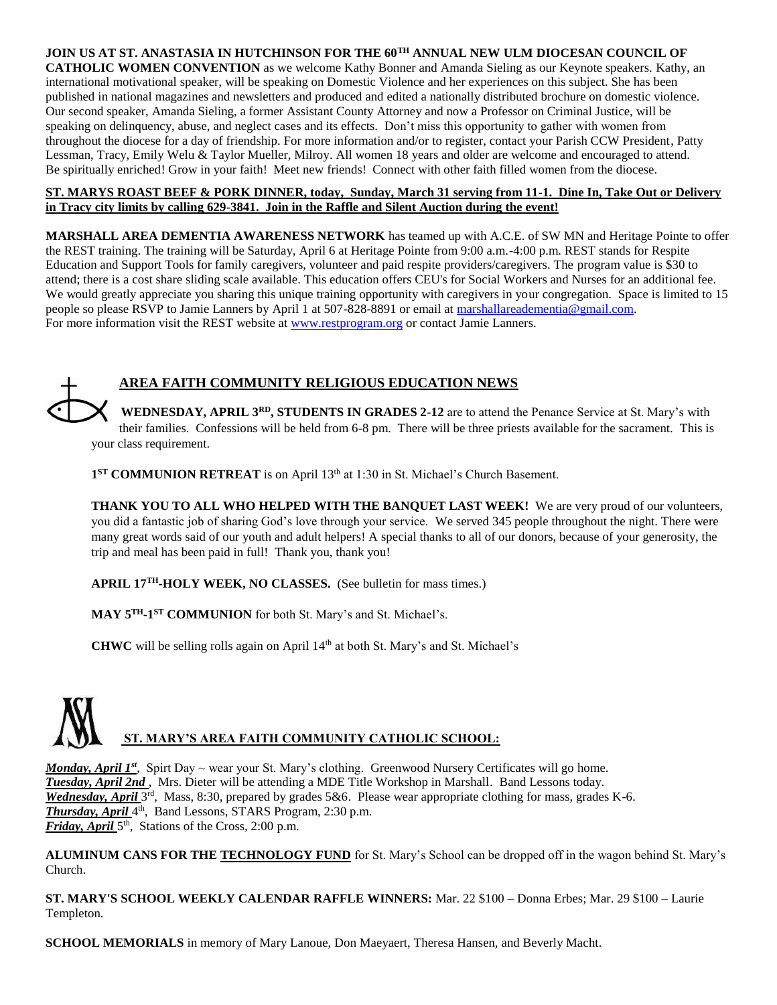## **JOIN US AT ST. ANASTASIA IN HUTCHINSON FOR THE 60TH ANNUAL NEW ULM DIOCESAN COUNCIL OF**

**CATHOLIC WOMEN CONVENTION** as we welcome Kathy Bonner and Amanda Sieling as our Keynote speakers. Kathy, an international motivational speaker, will be speaking on Domestic Violence and her experiences on this subject. She has been published in national magazines and newsletters and produced and edited a nationally distributed brochure on domestic violence. Our second speaker, Amanda Sieling, a former Assistant County Attorney and now a Professor on Criminal Justice, will be speaking on delinquency, abuse, and neglect cases and its effects. Don't miss this opportunity to gather with women from throughout the diocese for a day of friendship. For more information and/or to register, contact your Parish CCW President, Patty Lessman, Tracy, Emily Welu & Taylor Mueller, Milroy. All women 18 years and older are welcome and encouraged to attend. Be spiritually enriched! Grow in your faith! Meet new friends! Connect with other faith filled women from the diocese.

## **ST. MARYS ROAST BEEF & PORK DINNER, today, Sunday, March 31 serving from 11-1. Dine In, Take Out or Delivery in Tracy city limits by calling 629-3841. Join in the Raffle and Silent Auction during the event!**

**MARSHALL AREA DEMENTIA AWARENESS NETWORK** has teamed up with A.C.E. of SW MN and Heritage Pointe to offer the REST training. The training will be Saturday, April 6 at Heritage Pointe from 9:00 a.m.-4:00 p.m. REST stands for Respite Education and Support Tools for family caregivers, volunteer and paid respite providers/caregivers. The program value is \$30 to attend; there is a cost share sliding scale available. This education offers CEU's for Social Workers and Nurses for an additional fee. We would greatly appreciate you sharing this unique training opportunity with caregivers in your congregation. Space is limited to 15 people so please RSVP to Jamie Lanners by April 1 at 507-828-8891 or email at [marshallareadementia@gmail.com.](mailto:marshallareadementia@gmail.com) For more information visit the REST website at [www.restprogram.org](http://www.restprogram.org/) or contact Jamie Lanners.

# **AREA FAITH COMMUNITY RELIGIOUS EDUCATION NEWS**

**WEDNESDAY, APRIL 3RD, STUDENTS IN GRADES 2-12** are to attend the Penance Service at St. Mary's with their families. Confessions will be held from 6-8 pm. There will be three priests available for the sacrament. This is your class requirement.

1<sup>ST</sup> **COMMUNION RETREAT** is on April 13<sup>th</sup> at 1:30 in St. Michael's Church Basement.

**THANK YOU TO ALL WHO HELPED WITH THE BANQUET LAST WEEK!** We are very proud of our volunteers, you did a fantastic job of sharing God's love through your service. We served 345 people throughout the night. There were many great words said of our youth and adult helpers! A special thanks to all of our donors, because of your generosity, the trip and meal has been paid in full! Thank you, thank you!

**APRIL 17TH-HOLY WEEK, NO CLASSES.** (See bulletin for mass times.)

**MAY 5TH-1 ST COMMUNION** for both St. Mary's and St. Michael's.

**CHWC** will be selling rolls again on April 14th at both St. Mary's and St. Michael's



Monday, April 1<sup>st</sup>, Spirt Day ~ wear your St. Mary's clothing. Greenwood Nursery Certificates will go home. *Tuesday, April 2nd* , Mrs. Dieter will be attending a MDE Title Workshop in Marshall. Band Lessons today. Wednesday, April 3<sup>rd</sup>, Mass, 8:30, prepared by grades 5&6. Please wear appropriate clothing for mass, grades K-6. *Thursday, April* 4 th , Band Lessons, STARS Program, 2:30 p.m. *Friday, April* 5<sup>th</sup>, Stations of the Cross, 2:00 p.m.

**ALUMINUM CANS FOR THE TECHNOLOGY FUND** for St. Mary's School can be dropped off in the wagon behind St. Mary's Church.

**ST. MARY'S SCHOOL WEEKLY CALENDAR RAFFLE WINNERS:** Mar. 22 \$100 – Donna Erbes; Mar. 29 \$100 – Laurie Templeton.

**SCHOOL MEMORIALS** in memory of Mary Lanoue, Don Maeyaert, Theresa Hansen, and Beverly Macht.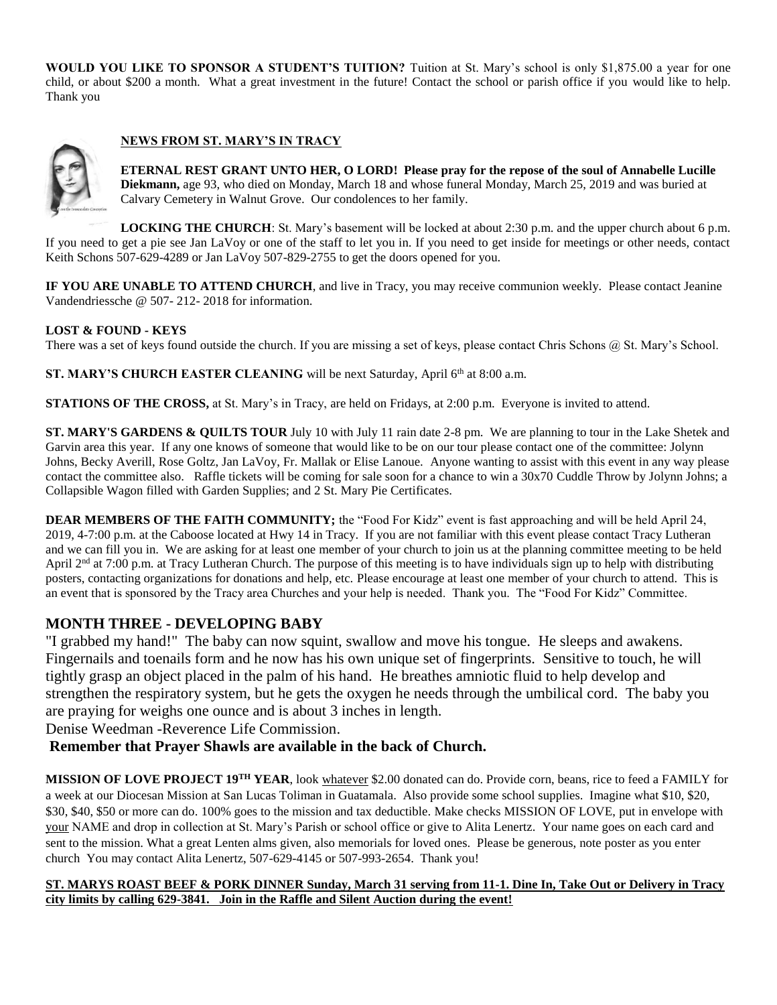**WOULD YOU LIKE TO SPONSOR A STUDENT'S TUITION?** Tuition at St. Mary's school is only \$1,875.00 a year for one child, or about \$200 a month. What a great investment in the future! Contact the school or parish office if you would like to help. Thank you

# **NEWS FROM ST. MARY'S IN TRACY**



**ETERNAL REST GRANT UNTO HER, O LORD! Please pray for the repose of the soul of Annabelle Lucille Diekmann,** age 93, who died on Monday, March 18 and whose funeral Monday, March 25, 2019 and was buried at Calvary Cemetery in Walnut Grove. Our condolences to her family.

**LOCKING THE CHURCH**: St. Mary's basement will be locked at about 2:30 p.m. and the upper church about 6 p.m. If you need to get a pie see Jan LaVoy or one of the staff to let you in. If you need to get inside for meetings or other needs, contact Keith Schons 507-629-4289 or Jan LaVoy 507-829-2755 to get the doors opened for you.

**IF YOU ARE UNABLE TO ATTEND CHURCH**, and live in Tracy, you may receive communion weekly. Please contact Jeanine Vandendriessche @ 507- 212- 2018 for information.

## **LOST & FOUND - KEYS**

There was a set of keys found outside the church. If you are missing a set of keys, please contact Chris Schons  $\omega$  St. Mary's School.

ST. MARY'S CHURCH EASTER CLEANING will be next Saturday, April 6<sup>th</sup> at 8:00 a.m.

**STATIONS OF THE CROSS,** at St. Mary's in Tracy, are held on Fridays, at 2:00 p.m. Everyone is invited to attend.

**ST. MARY'S GARDENS & QUILTS TOUR** July 10 with July 11 rain date 2-8 pm. We are planning to tour in the Lake Shetek and Garvin area this year. If any one knows of someone that would like to be on our tour please contact one of the committee: Jolynn Johns, Becky Averill, Rose Goltz, Jan LaVoy, Fr. Mallak or Elise Lanoue. Anyone wanting to assist with this event in any way please contact the committee also. Raffle tickets will be coming for sale soon for a chance to win a 30x70 Cuddle Throw by Jolynn Johns; a Collapsible Wagon filled with Garden Supplies; and 2 St. Mary Pie Certificates.

**DEAR MEMBERS OF THE FAITH COMMUNITY;** the "Food For Kidz" event is fast approaching and will be held April 24, 2019, 4-7:00 p.m. at the Caboose located at Hwy 14 in Tracy. If you are not familiar with this event please contact Tracy Lutheran and we can fill you in. We are asking for at least one member of your church to join us at the planning committee meeting to be held April  $2<sup>nd</sup>$  at 7:00 p.m. at Tracy Lutheran Church. The purpose of this meeting is to have individuals sign up to help with distributing posters, contacting organizations for donations and help, etc. Please encourage at least one member of your church to attend. This is an event that is sponsored by the Tracy area Churches and your help is needed. Thank you. The "Food For Kidz" Committee.

# **MONTH THREE - DEVELOPING BABY**

"I grabbed my hand!" The baby can now squint, swallow and move his tongue. He sleeps and awakens. Fingernails and toenails form and he now has his own unique set of fingerprints. Sensitive to touch, he will tightly grasp an object placed in the palm of his hand. He breathes amniotic fluid to help develop and strengthen the respiratory system, but he gets the oxygen he needs through the umbilical cord. The baby you are praying for weighs one ounce and is about 3 inches in length.

Denise Weedman -Reverence Life Commission.

# **Remember that Prayer Shawls are available in the back of Church.**

**MISSION OF LOVE PROJECT 19TH YEAR**, look whatever \$2.00 donated can do. Provide corn, beans, rice to feed a FAMILY for a week at our Diocesan Mission at San Lucas Toliman in Guatamala. Also provide some school supplies. Imagine what \$10, \$20, \$30, \$40, \$50 or more can do. 100% goes to the mission and tax deductible. Make checks MISSION OF LOVE, put in envelope with your NAME and drop in collection at St. Mary's Parish or school office or give to Alita Lenertz. Your name goes on each card and sent to the mission. What a great Lenten alms given, also memorials for loved ones. Please be generous, note poster as you enter church You may contact Alita Lenertz, 507-629-4145 or 507-993-2654. Thank you!

## **ST. MARYS ROAST BEEF & PORK DINNER Sunday, March 31 serving from 11-1. Dine In, Take Out or Delivery in Tracy city limits by calling 629-3841. Join in the Raffle and Silent Auction during the event!**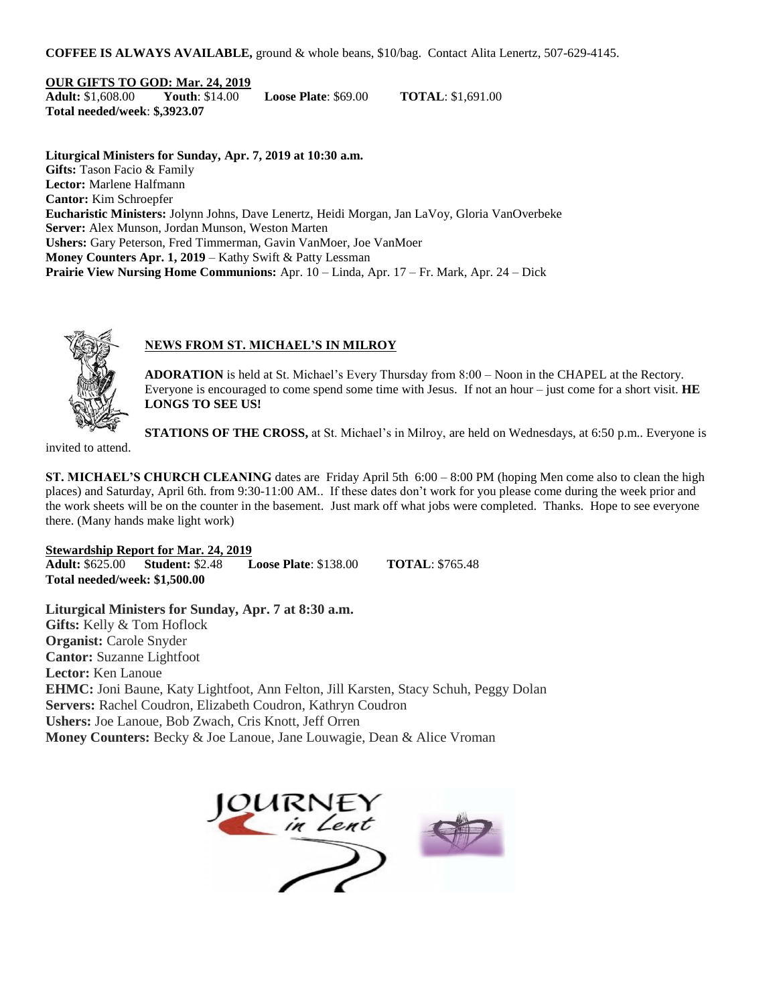**COFFEE IS ALWAYS AVAILABLE,** ground & whole beans, \$10/bag. Contact Alita Lenertz, 507-629-4145.

**OUR GIFTS TO GOD: Mar. 24, 2019**

**Adult:** \$1,608.00 **Youth**: \$14.00 **Loose Plate**: \$69.00 **TOTAL**: \$1,691.00 **Total needed/week**: **\$,3923.07**

**Liturgical Ministers for Sunday, Apr. 7, 2019 at 10:30 a.m. Gifts:** Tason Facio & Family **Lector:** Marlene Halfmann **Cantor:** Kim Schroepfer **Eucharistic Ministers:** Jolynn Johns, Dave Lenertz, Heidi Morgan, Jan LaVoy, Gloria VanOverbeke **Server:** Alex Munson, Jordan Munson, Weston Marten **Ushers:** Gary Peterson, Fred Timmerman, Gavin VanMoer, Joe VanMoer **Money Counters Apr. 1, 2019** – Kathy Swift & Patty Lessman **Prairie View Nursing Home Communions:** Apr. 10 – Linda, Apr. 17 – Fr. Mark, Apr. 24 – Dick



# **NEWS FROM ST. MICHAEL'S IN MILROY**

**ADORATION** is held at St. Michael's Every Thursday from 8:00 – Noon in the CHAPEL at the Rectory. Everyone is encouraged to come spend some time with Jesus. If not an hour – just come for a short visit. **HE LONGS TO SEE US!**

**STATIONS OF THE CROSS,** at St. Michael's in Milroy, are held on Wednesdays, at 6:50 p.m.. Everyone is

invited to attend.

**ST. MICHAEL'S CHURCH CLEANING** dates are Friday April 5th 6:00 – 8:00 PM (hoping Men come also to clean the high places) and Saturday, April 6th. from 9:30-11:00 AM.. If these dates don't work for you please come during the week prior and the work sheets will be on the counter in the basement. Just mark off what jobs were completed. Thanks. Hope to see everyone there. (Many hands make light work)

**Stewardship Report for Mar. 24, 2019 Adult:** \$625.00 **Student:** \$2.48 **Loose Plate**: \$138.00 **TOTAL**: \$765.48 **Total needed/week: \$1,500.00**

**Liturgical Ministers for Sunday, Apr. 7 at 8:30 a.m. Gifts:** Kelly & Tom Hoflock **Organist:** Carole Snyder **Cantor:** Suzanne Lightfoot **Lector:** Ken Lanoue **EHMC:** Joni Baune, Katy Lightfoot, Ann Felton, Jill Karsten, Stacy Schuh, Peggy Dolan **Servers:** Rachel Coudron, Elizabeth Coudron, Kathryn Coudron **Ushers:** Joe Lanoue, Bob Zwach, Cris Knott, Jeff Orren **Money Counters:** Becky & Joe Lanoue, Jane Louwagie, Dean & Alice Vroman